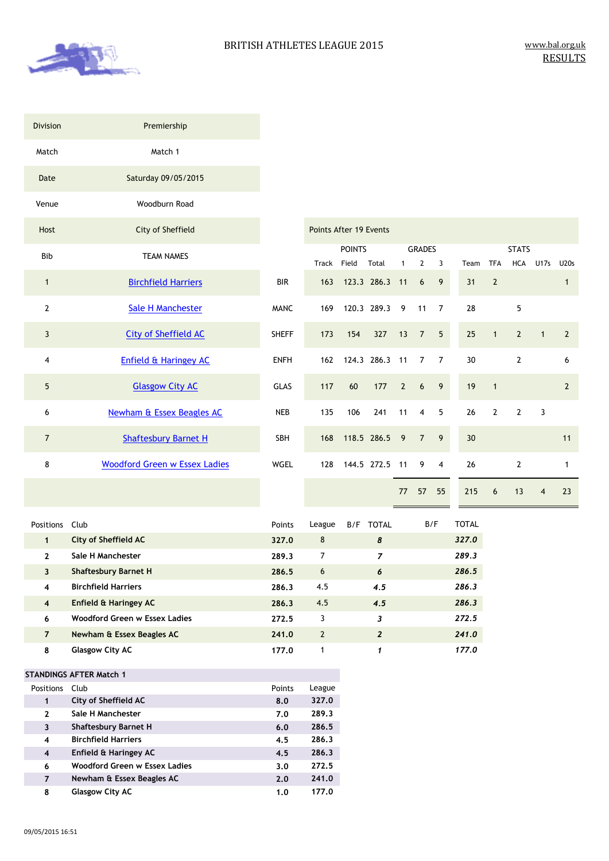

| <b>Division</b>         | Premiership                          |              |                        |                        |             |
|-------------------------|--------------------------------------|--------------|------------------------|------------------------|-------------|
| Match                   | Match 1                              |              |                        |                        |             |
| Date                    | Saturday 09/05/2015                  |              |                        |                        |             |
| Venue                   | Woodburn Road                        |              |                        |                        |             |
| Host                    | City of Sheffield                    |              | Points After 19 Events |                        |             |
| <b>Bib</b>              | <b>TEAM NAMES</b>                    |              | <b>Track</b>           | <b>POINTS</b><br>Field | Total       |
| $\mathbf{1}$            | <b>Birchfield Harriers</b>           | <b>BIR</b>   | 163                    | 123.3 286.3            |             |
| $\overline{2}$          | <b>Sale H Manchester</b>             | <b>MANC</b>  | 169                    |                        | 120.3 289.3 |
| $\overline{\mathbf{3}}$ | <b>City of Sheffield AC</b>          | <b>SHEFF</b> | 173                    | 154                    | 327         |
| $\overline{4}$          | Enfield & Haringey AC                | <b>ENFH</b>  | 162                    |                        | 124.3 286.3 |
| 5                       | <b>Glasgow City AC</b>               | <b>GLAS</b>  | 117                    | 60                     | 177         |
| 6                       | <b>Newham &amp; Essex Beagles AC</b> | <b>NEB</b>   | 135                    | 106                    | 241         |
| $\overline{7}$          | <b>Shaftesbury Barnet H</b>          | SBH          | 168                    |                        | 118.5 286.5 |
| 8                       | <b>Woodford Green w Essex Ladies</b> | <b>WGEL</b>  | 128                    |                        | 144.5 272.5 |
|                         |                                      |              |                        |                        |             |

| City of Sheffield           |              | <b>Points After 19 Events</b> |               |                |                |                |                |      |                |                |                |                |  |  |
|-----------------------------|--------------|-------------------------------|---------------|----------------|----------------|----------------|----------------|------|----------------|----------------|----------------|----------------|--|--|
| <b>TEAM NAMES</b>           |              |                               | <b>POINTS</b> |                |                | <b>GRADES</b>  |                |      | <b>STATS</b>   |                |                |                |  |  |
|                             |              | Track Field                   |               | Total          | $1 \quad$      | $\overline{2}$ | 3              | Team | <b>TFA</b>     | <b>HCA</b>     | U17s           | U20s           |  |  |
| <b>Birchfield Harriers</b>  | BIR          | 163                           |               | 123.3 286.3 11 |                | 6              | 9              | 31   | $\overline{2}$ |                |                | $\mathbf{1}$   |  |  |
| Sale H Manchester           | <b>MANC</b>  | 169                           |               | 120.3 289.3    | 9              | 11             | 7              | 28   |                | 5              |                |                |  |  |
| <b>City of Sheffield AC</b> | <b>SHEFF</b> | 173                           | 154           | 327            | $13 \quad 7$   |                | 5              | 25   | $\overline{1}$ | $\overline{2}$ | $\overline{1}$ | $\overline{2}$ |  |  |
| ifield & Haringey AC        | <b>ENFH</b>  | 162                           |               | 124.3 286.3 11 |                | $7^{\circ}$    | $\overline{7}$ | 30   |                | $\overline{2}$ |                | 6              |  |  |
| <b>Glasgow City AC</b>      | <b>GLAS</b>  | 117                           | 60            | 177            | $\overline{2}$ | 6              | 9              | 19   | $\mathbf{1}$   |                |                | $\overline{2}$ |  |  |
| am & Essex Beagles AC       | NEB          | 135                           | 106           | 241            | 11             | $\overline{4}$ | 5              | 26   | $\overline{2}$ | $\overline{2}$ | 3              |                |  |  |
| haftesbury Barnet H         | <b>SBH</b>   | 168                           |               | 118.5 286.5 9  |                | $\overline{7}$ | $\overline{9}$ | 30   |                |                |                | 11             |  |  |
| ord Green w Essex Ladies    | <b>WGEL</b>  | 128                           |               | 144.5 272.5 11 |                | 9              | $\overline{4}$ | 26   |                | $\overline{2}$ |                | 1              |  |  |
|                             |              |                               |               |                | 77             | 57             | 55             | 215  | 6              | 13             | $\overline{4}$ | 23             |  |  |

| <b>Positions</b> | Club                          | Points | League         | B/F | <b>TOTAL</b>   | B/F | <b>TOTAL</b> |
|------------------|-------------------------------|--------|----------------|-----|----------------|-----|--------------|
| 1                | City of Sheffield AC          | 327.0  | 8              |     | 8              |     | 327.0        |
| $\mathbf{2}$     | Sale H Manchester             | 289.3  | 7              |     | 7              |     | 289.3        |
| 3                | <b>Shaftesbury Barnet H</b>   | 286.5  | 6              |     | 6              |     | 286.5        |
| 4                | <b>Birchfield Harriers</b>    | 286.3  | 4.5            |     | 4.5            |     | 286.3        |
| $\overline{4}$   | Enfield & Haringey AC         | 286.3  | 4.5            |     | 4.5            |     | 286.3        |
| 6                | Woodford Green w Essex Ladies | 272.5  | 3              |     | 3              |     | 272.5        |
| $\overline{7}$   | Newham & Essex Beagles AC     | 241.0  | $\overline{2}$ |     | $\overline{2}$ |     | 241.0        |
| 8                | <b>Glasgow City AC</b>        | 177.0  | 1              |     | 1              |     | 177.0        |

#### **STANDINGS AFTER Match 1**

| <b>Positions</b> | Club                          | Points | League |
|------------------|-------------------------------|--------|--------|
| 1                | City of Sheffield AC          | 8.0    | 327.0  |
| $\mathbf{2}$     | Sale H Manchester             | 7.0    | 289.3  |
| 3                | <b>Shaftesbury Barnet H</b>   | 6.0    | 286.5  |
| 4                | <b>Birchfield Harriers</b>    | 4.5    | 286.3  |
| $\boldsymbol{4}$ | Enfield & Haringey AC         | 4.5    | 286.3  |
| 6                | Woodford Green w Essex Ladies | 3.0    | 272.5  |
| 7                | Newham & Essex Beagles AC     | 2.0    | 241.0  |
| 8                | <b>Glasgow City AC</b>        | 1.0    | 177.0  |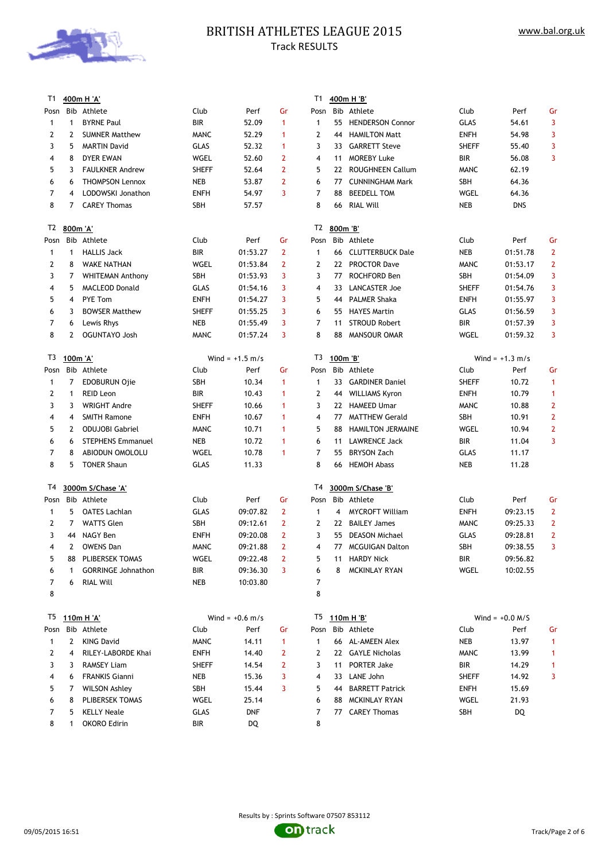

# BRITISH ATHLETES LEAGUE 2015 Track RESULTS

| T1           |              | 400m H 'A'                |              |                   |                | T1             |          | 400m H 'B'               |              |                   |                |
|--------------|--------------|---------------------------|--------------|-------------------|----------------|----------------|----------|--------------------------|--------------|-------------------|----------------|
| Posn         |              | Bib Athlete               | Club         | Perf              | Gr             | Posn           |          | Bib Athlete              | Club         | Perf              | Gr             |
| $\mathbf{1}$ | 1            | <b>BYRNE Paul</b>         | <b>BIR</b>   | 52.09             | $\mathbf{1}$   | 1              | 55       | <b>HENDERSON Connor</b>  | <b>GLAS</b>  | 54.61             | 3              |
| 2            | 2            | <b>SUMNER Matthew</b>     | <b>MANC</b>  | 52.29             | 1              | 2              | 44       | <b>HAMILTON Matt</b>     | <b>ENFH</b>  | 54.98             | 3              |
| 3            | 5            | <b>MARTIN David</b>       | <b>GLAS</b>  | 52.32             | 1              | 3              | 33       | <b>GARRETT Steve</b>     | <b>SHEFF</b> | 55.40             | 3              |
| 4            | 8            | <b>DYER EWAN</b>          | WGEL         | 52.60             | $\overline{2}$ | 4              | 11       | <b>MOREBY Luke</b>       | BIR          | 56.08             | 3              |
| 5            | 3            | <b>FAULKNER Andrew</b>    | <b>SHEFF</b> | 52.64             | $\overline{2}$ | 5              | 22       | <b>ROUGHNEEN Callum</b>  | <b>MANC</b>  | 62.19             |                |
| 6            | 6            | <b>THOMPSON Lennox</b>    | <b>NEB</b>   | 53.87             | $\overline{2}$ | 6              | 77       | <b>CUNNINGHAM Mark</b>   | SBH          | 64.36             |                |
| 7            | 4            | LODOWSKI Jonathon         | <b>ENFH</b>  | 54.97             | 3              | 7              | 88       | <b>BEEDELL TOM</b>       | WGEL         | 64.36             |                |
| 8            | 7            | <b>CAREY Thomas</b>       | <b>SBH</b>   | 57.57             |                | 8              | 66       | <b>RIAL Will</b>         | <b>NEB</b>   | <b>DNS</b>        |                |
|              |              |                           |              |                   |                |                |          |                          |              |                   |                |
| T2           | 800m 'A'     |                           |              |                   |                | T2             | 800m 'B' |                          |              |                   |                |
| Posn         |              | Bib Athlete               | Club         | Perf              | Gr             | Posn           |          | Bib Athlete              | Club         | Perf              | Gr             |
| $\mathbf{1}$ | $\mathbf{1}$ | <b>HALLIS Jack</b>        | BIR          | 01:53.27          | $\overline{2}$ | $\mathbf{1}$   | 66       | <b>CLUTTERBUCK Dale</b>  | <b>NEB</b>   | 01:51.78          | $\mathbf{2}$   |
| 2            | 8            | <b>WAKE NATHAN</b>        | WGEL         | 01:53.84          | $\overline{2}$ | $\overline{2}$ | 22       | <b>PROCTOR Dave</b>      | <b>MANC</b>  | 01:53.17          | $\overline{2}$ |
| 3            | 7            | <b>WHITEMAN Anthony</b>   | <b>SBH</b>   | 01:53.93          | 3              | 3              | 77       | ROCHFORD Ben             | SBH          | 01:54.09          | 3              |
| 4            | 5            | <b>MACLEOD Donald</b>     | <b>GLAS</b>  | 01:54.16          | 3              | 4              | 33       | LANCASTER Joe            | <b>SHEFF</b> | 01:54.76          | 3              |
| 5            | 4            | <b>PYE Tom</b>            | <b>ENFH</b>  | 01:54.27          | 3              | 5              | 44       | <b>PALMER Shaka</b>      | <b>ENFH</b>  | 01:55.97          | 3              |
| 6            | 3            | <b>BOWSER Matthew</b>     | <b>SHEFF</b> | 01:55.25          | 3              | 6              | 55       | <b>HAYES Martin</b>      | <b>GLAS</b>  | 01:56.59          | 3              |
| 7            | 6            | Lewis Rhys                | <b>NEB</b>   | 01:55.49          | 3              | 7              | 11       | <b>STROUD Robert</b>     | <b>BIR</b>   | 01:57.39          | 3              |
| 8            | 2            | <b>OGUNTAYO Josh</b>      | <b>MANC</b>  | 01:57.24          | 3              | 8              | 88       | <b>MANSOUR OMAR</b>      | WGEL         | 01:59.32          | 3              |
|              |              |                           |              |                   |                |                |          |                          |              |                   |                |
| T3           | 100m 'A'     |                           |              | Wind = $+1.5$ m/s |                | T3             | 100m 'B' |                          |              | Wind = $+1.3$ m/s |                |
| Posn         |              | Bib Athlete               | Club         | Perf              | Gr             | Posn           |          | Bib Athlete              | Club         | Perf              | Gr             |
| 1            | 7            | <b>EDOBURUN Ojie</b>      | <b>SBH</b>   | 10.34             | $\mathbf{1}$   | $\mathbf{1}$   | 33       | <b>GARDINER Daniel</b>   | <b>SHEFF</b> | 10.72             | 1              |
| 2            | 1            | <b>REID Leon</b>          | BIR          | 10.43             | $\mathbf{1}$   | 2              | 44       | <b>WILLIAMS Kyron</b>    | <b>ENFH</b>  | 10.79             | 1              |
| 3            | 3            | <b>WRIGHT Andre</b>       | <b>SHEFF</b> | 10.66             | $\mathbf{1}$   | 3              | 22       | <b>HAMEED Umar</b>       | <b>MANC</b>  | 10.88             | 2              |
| 4            | 4            | <b>SMITH Ramone</b>       | <b>ENFH</b>  | 10.67             | $\mathbf{1}$   | 4              | 77       | <b>MATTHEW Gerald</b>    | SBH          | 10.91             | $\overline{2}$ |
| 5            | 2            | <b>ODUJOBI Gabriel</b>    | <b>MANC</b>  | 10.71             | 1              | 5              | 88       | <b>HAMILTON JERMAINE</b> | WGEL         | 10.94             | 2              |
| 6            | 6            | <b>STEPHENS Emmanuel</b>  | <b>NEB</b>   | 10.72             | 1              | 6              | 11       | <b>LAWRENCE Jack</b>     | BIR          | 11.04             | 3              |
| 7            | 8            | ABIODUN OMOLOLU           | WGEL         | 10.78             | 1              | 7              | 55       | <b>BRYSON Zach</b>       | <b>GLAS</b>  | 11.17             |                |
| 8            | 5            | <b>TONER Shaun</b>        | <b>GLAS</b>  | 11.33             |                | 8              | 66       | <b>HEMOH Abass</b>       | <b>NEB</b>   | 11.28             |                |
|              |              |                           |              |                   |                |                |          |                          |              |                   |                |
| T4           |              | 3000m S/Chase 'A'         |              |                   |                | T4             |          | 3000m S/Chase 'B'        |              |                   |                |
| Posn         |              | Bib Athlete               | Club         | Perf              | Gr             | Posn           |          | Bib Athlete              | Club         | Perf              | Gr             |
| 1            | 5            | <b>OATES Lachlan</b>      | <b>GLAS</b>  | 09:07.82          | $\overline{2}$ | $\mathbf{1}$   | 4        | <b>MYCROFT William</b>   | <b>ENFH</b>  | 09:23.15          | $\mathbf{2}$   |
| 2            | 7            | <b>WATTS Glen</b>         | <b>SBH</b>   | 09:12.61          | $\overline{2}$ | 2              |          | 22 BAILEY James          | <b>MANC</b>  | 09:25.33          | $\overline{2}$ |
| 3            |              | 44 NAGY Ben               | <b>ENFH</b>  | 09:20.08          | $\overline{2}$ | 3              |          | 55 DEASON Michael        | <b>GLAS</b>  | 09:28.81          | 2              |
| 4            |              | 2 OWENS Dan               | <b>MANC</b>  | 09:21.88          | $2^{\circ}$    | 4              |          | 77 MCGUIGAN Dalton       | SBH          | 09:38.55          | 3              |
| 5            |              | 88 PLIBERSEK TOMAS        | WGEL         | 09:22.48          | 2              | 5              |          | 11 HARDY Nick            | BIR          | 09:56.82          |                |
| 6            | 1            | <b>GORRINGE Johnathon</b> | BIR          | 09:36.30          | 3              | 6              | 8        | MCKINLAY RYAN            | WGEL         | 10:02.55          |                |
| 7            | 6            | RIAL Will                 | NEB          | 10:03.80          |                | 7              |          |                          |              |                   |                |
| 8            |              |                           |              |                   |                | 8              |          |                          |              |                   |                |
|              |              |                           |              |                   |                |                |          |                          |              |                   |                |
| T5           |              | <u>110m H 'A'</u>         |              | Wind = $+0.6$ m/s |                | T5             |          | <u>110m H 'B'</u>        |              | Wind = $+0.0$ M/S |                |
| Posn         |              | Bib Athlete               | Club         | Perf              | Gr             | Posn           |          | Bib Athlete              | Club         | Perf              | Gr             |
| $\mathbf{1}$ | 2            | <b>KING David</b>         | <b>MANC</b>  | 14.11             | $\mathbf{1}$   | 1              |          | 66 AL-AMEEN Alex         | NEB          | 13.97             | 1              |
| 2            | 4            | RILEY-LABORDE Khai        | ENFH         | 14.40             | 2              | 2              |          | 22 GAYLE Nicholas        | <b>MANC</b>  | 13.99             | 1              |
| 3            | 3            | <b>RAMSEY Liam</b>        | <b>SHEFF</b> | 14.54             | 2              | 3              |          | 11 PORTER Jake           | BIR          | 14.29             | $\mathbf{1}$   |
| 4            | 6            | <b>FRANKIS Gianni</b>     | NEB          | 15.36             | 3              | 4              |          | 33 LANE John             | <b>SHEFF</b> | 14.92             | 3              |
| 5            | 7            | <b>WILSON Ashley</b>      | SBH          | 15.44             | 3              | 5              |          | 44 BARRETT Patrick       | ENFH         | 15.69             |                |
| 6            | 8            | PLIBERSEK TOMAS           | WGEL         | 25.14             |                | 6              |          | 88 MCKINLAY RYAN         | WGEL         | 21.93             |                |
| 7            | 5            | <b>KELLY Neale</b>        | GLAS         | DNF               |                | 7              |          | 77 CAREY Thomas          | SBH          | DQ                |                |
| 8            | 1            | OKORO Edirin              | BIR          | DQ                |                | 8              |          |                          |              |                   |                |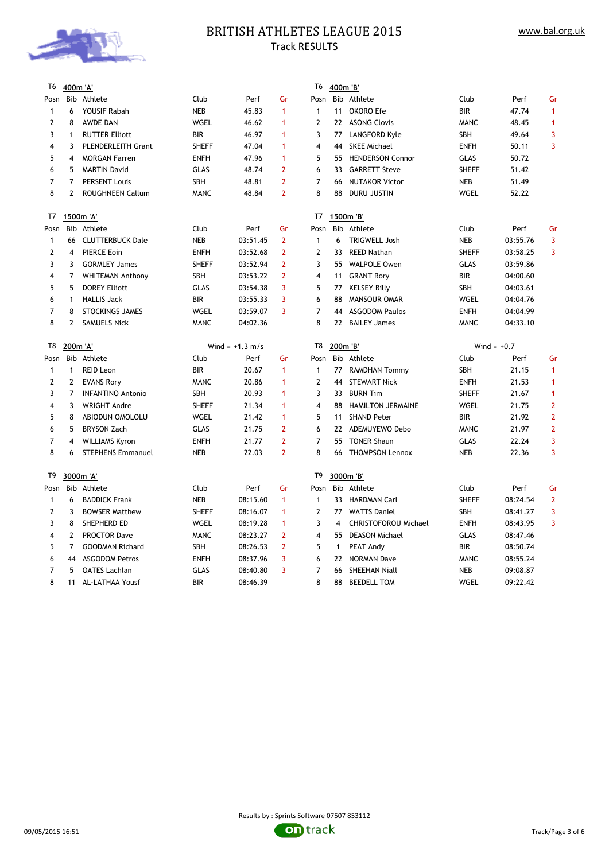

# BRITISH ATHLETES LEAGUE 2015 Track RESULTS

| T6           | 400m 'A'       |                           |              |                   |                | T6                      | 400m 'B'       |                          |              |               |                |
|--------------|----------------|---------------------------|--------------|-------------------|----------------|-------------------------|----------------|--------------------------|--------------|---------------|----------------|
| Posn         |                | Bib Athlete               | Club         | Perf              | Gr             | Posn                    |                | Bib Athlete              | Club         | Perf          | Gr             |
| $\mathbf{1}$ | 6              | YOUSIF Rabah              | <b>NEB</b>   | 45.83             | $\mathbf{1}$   | $\mathbf{1}$            | 11             | OKORO Efe                | <b>BIR</b>   | 47.74         | $\mathbf{1}$   |
| 2            | 8              | AWDE DAN                  | WGEL         | 46.62             | $\mathbf{1}$   | $\overline{2}$          | 22             | <b>ASONG Clovis</b>      | <b>MANC</b>  | 48.45         | $\mathbf{1}$   |
| 3            | $\mathbf{1}$   | <b>RUTTER Elliott</b>     | BIR          | 46.97             | $\mathbf{1}$   | 3                       | 77             | LANGFORD Kyle            | <b>SBH</b>   | 49.64         | 3              |
| 4            | 3              | <b>PLENDERLEITH Grant</b> | <b>SHEFF</b> | 47.04             | 1              | $\overline{4}$          | 44             | <b>SKEE Michael</b>      | <b>ENFH</b>  | 50.11         | 3              |
| 5            | 4              | <b>MORGAN Farren</b>      | <b>ENFH</b>  | 47.96             | $\mathbf{1}$   | 5                       | 55             | <b>HENDERSON Connor</b>  | <b>GLAS</b>  | 50.72         |                |
| 6            | 5              | <b>MARTIN David</b>       | <b>GLAS</b>  | 48.74             | $\overline{2}$ | 6                       | 33             | <b>GARRETT Steve</b>     | <b>SHEFF</b> | 51.42         |                |
| 7            | $\overline{7}$ | <b>PERSENT Louis</b>      | SBH          | 48.81             | $\overline{2}$ | $\overline{7}$          | 66             | <b>NUTAKOR Victor</b>    | <b>NEB</b>   | 51.49         |                |
| 8            | $\overline{2}$ | <b>ROUGHNEEN Callum</b>   | <b>MANC</b>  | 48.84             | $\overline{2}$ | 8                       | 88             | <b>DURU JUSTIN</b>       | WGEL         | 52.22         |                |
| T7           |                | 1500m 'A'                 |              |                   |                | T7                      |                | 1500m 'B'                |              |               |                |
| Posn         |                | Bib Athlete               | Club         | Perf              | Gr             | Posn                    |                | Bib Athlete              | Club         | Perf          | Gr             |
| 1            | 66             | <b>CLUTTERBUCK Dale</b>   | <b>NEB</b>   | 03:51.45          | $\overline{2}$ | $\mathbf{1}$            | 6              | <b>TRIGWELL Josh</b>     | <b>NEB</b>   | 03:55.76      | 3              |
| 2            | 4              | <b>PIERCE Eoin</b>        | <b>ENFH</b>  | 03:52.68          | $\overline{2}$ | $\overline{2}$          | 33             | <b>REED Nathan</b>       | <b>SHEFF</b> | 03:58.25      | 3              |
| 3            | 3              | <b>GORMLEY James</b>      | <b>SHEFF</b> | 03:52.94          | $\overline{2}$ | 3                       | 55             | <b>WALPOLE Owen</b>      | <b>GLAS</b>  | 03:59.86      |                |
| 4            | 7              | <b>WHITEMAN Anthony</b>   | SBH          | 03:53.22          | $\overline{2}$ | $\overline{\mathbf{4}}$ | 11             | <b>GRANT Rory</b>        | <b>BIR</b>   | 04:00.60      |                |
| 5            | 5              | <b>DOREY Elliott</b>      | <b>GLAS</b>  | 03:54.38          | 3              | 5                       | 77             | <b>KELSEY Billy</b>      | SBH          | 04:03.61      |                |
| 6            | $\mathbf{1}$   | <b>HALLIS Jack</b>        | <b>BIR</b>   | 03:55.33          | 3              | 6                       | 88             | <b>MANSOUR OMAR</b>      | WGEL         | 04:04.76      |                |
| 7            | 8              | <b>STOCKINGS JAMES</b>    | WGEL         | 03:59.07          | 3              | $\overline{7}$          | 44             | <b>ASGODOM Paulos</b>    | ENFH         | 04:04.99      |                |
| 8            | $\mathbf{2}$   | <b>SAMUELS Nick</b>       | <b>MANC</b>  | 04:02.36          |                | 8                       | 22             | <b>BAILEY James</b>      | <b>MANC</b>  | 04:33.10      |                |
| T8           | 200m 'A'       |                           |              | Wind = $+1.3$ m/s |                | T8                      | 200m 'B'       |                          |              | Wind = $+0.7$ |                |
| Posn         |                | Bib Athlete               | Club         | Perf              | Gr             | Posn                    |                | Bib Athlete              | Club         | Perf          | Gr             |
| $\mathbf{1}$ | $\mathbf{1}$   | <b>REID Leon</b>          | <b>BIR</b>   | 20.67             | $\mathbf{1}$   | $\mathbf{1}$            | 77             | <b>RAMDHAN Tommy</b>     | SBH          | 21.15         | $\mathbf{1}$   |
| 2            | $\mathbf{2}$   | <b>EVANS Rory</b>         | <b>MANC</b>  | 20.86             | 1              | $\mathbf{2}$            | 44             | <b>STEWART Nick</b>      | <b>ENFH</b>  | 21.53         | $\mathbf{1}$   |
| 3            | 7              | <b>INFANTINO Antonio</b>  | SBH          | 20.93             | $\mathbf{1}$   | 3                       | 33             | <b>BURN Tim</b>          | <b>SHEFF</b> | 21.67         | $\mathbf{1}$   |
| 4            | 3              | <b>WRIGHT Andre</b>       | <b>SHEFF</b> | 21.34             | 1              | $\overline{4}$          | 88             | <b>HAMILTON JERMAINE</b> | WGEL         | 21.75         | $\overline{2}$ |
| 5            | 8              | ABIODUN OMOLOLU           | WGEL         | 21.42             | $\mathbf{1}$   | 5                       | 11             | <b>SHAND Peter</b>       | <b>BIR</b>   | 21.92         | $\overline{2}$ |
| 6            | 5              | <b>BRYSON Zach</b>        | <b>GLAS</b>  | 21.75             | $\overline{2}$ | 6                       | 22             | ADEMUYEWO Debo           | <b>MANC</b>  | 21.97         | $\overline{2}$ |
| 7            | 4              | <b>WILLIAMS Kyron</b>     | <b>ENFH</b>  | 21.77             | $\overline{2}$ | $\overline{7}$          | 55             | <b>TONER Shaun</b>       | <b>GLAS</b>  | 22.24         | 3              |
| 8            | 6              | <b>STEPHENS Emmanuel</b>  | <b>NEB</b>   | 22.03             | $\overline{2}$ | 8                       | 66             | <b>THOMPSON Lennox</b>   | NEB          | 22.36         | $\overline{3}$ |
| T9           |                | 3000m 'A'                 |              |                   |                | T9                      |                | 3000m 'B'                |              |               |                |
| Posn         | Bib            | Athlete                   | Club         | Perf              | Gr             | Posn                    |                | Bib Athlete              | Club         | Perf          | Gr             |
| 1            | 6              | <b>BADDICK Frank</b>      | <b>NEB</b>   | 08:15.60          | $\mathbf{1}$   | $\mathbf{1}$            | 33             | <b>HARDMAN Carl</b>      | <b>SHEFF</b> | 08:24.54      | $\overline{2}$ |
| 2            | 3              | <b>BOWSER Matthew</b>     | <b>SHEFF</b> | 08:16.07          | $\mathbf{1}$   | $\overline{2}$          | 77             | <b>WATTS Daniel</b>      | SBH          | 08:41.27      | 3              |
| 3            | 8              | SHEPHERD ED               | WGEL         | 08:19.28          | $\mathbf{1}$   | 3                       | $\overline{4}$ | CHRISTOFOROU Michael     | <b>ENFH</b>  | 08:43.95      | $\overline{3}$ |
| 4            | $\overline{2}$ | <b>PROCTOR Dave</b>       | <b>MANC</b>  | 08:23.27          | $\overline{2}$ | 4                       | 55             | <b>DEASON Michael</b>    | <b>GLAS</b>  | 08:47.46      |                |
| 5            | $\overline{7}$ | <b>GOODMAN Richard</b>    | SBH          | 08:26.53          | $\overline{2}$ | 5                       | $\mathbf{1}$   | PEAT Andy                | BIR          | 08:50.74      |                |
| 6            | 44             | <b>ASGODOM Petros</b>     | <b>ENFH</b>  | 08:37.96          | 3              | 6                       | 22             | <b>NORMAN Dave</b>       | <b>MANC</b>  | 08:55.24      |                |
| 7            | 5              | <b>OATES Lachlan</b>      | <b>GLAS</b>  | 08:40.80          | 3              | $\overline{7}$          | 66             | <b>SHEEHAN Niall</b>     | <b>NEB</b>   | 09:08.87      |                |
| 8            | 11             | AL-LATHAA Yousf           | <b>BIR</b>   | 08:46.39          |                | 8                       | 88             | <b>BEEDELL TOM</b>       | WGEL         | 09:22.42      |                |
|              |                |                           |              |                   |                |                         |                |                          |              |               |                |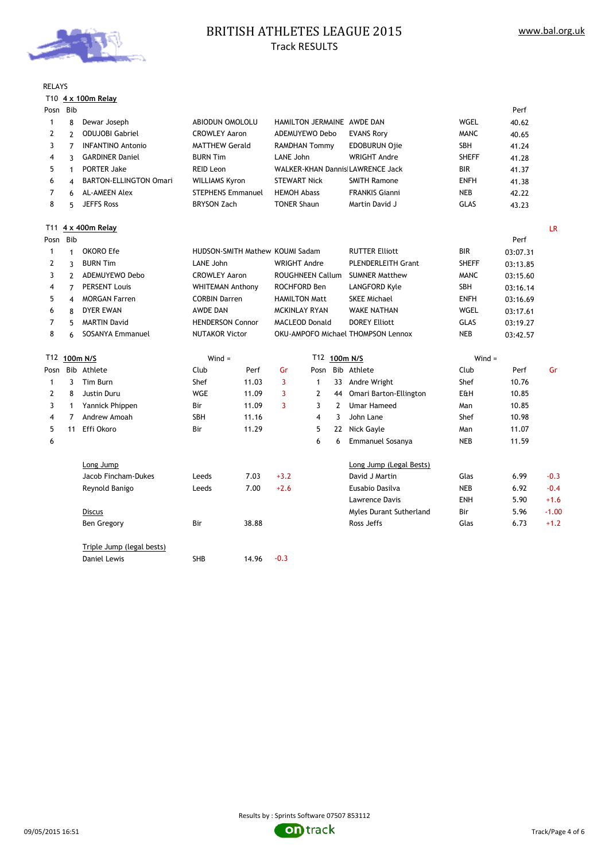

# BRITISH ATHLETES LEAGUE 2015 Track RESULTS

| RELAYS |  |
|--------|--|
|--------|--|

#### T10 **4 x 100m Relay**

| Posn         | Bib            |                               |                          |                                 |                         |                                  |                           |                                    |              | Perf     |           |
|--------------|----------------|-------------------------------|--------------------------|---------------------------------|-------------------------|----------------------------------|---------------------------|------------------------------------|--------------|----------|-----------|
| $\mathbf{1}$ | 8              | Dewar Joseph                  | ABIODUN OMOLOLU          |                                 |                         |                                  |                           | HAMILTON JERMAINE AWDE DAN         | <b>WGEL</b>  | 40.62    |           |
| 2            | $\overline{2}$ | <b>ODUJOBI Gabriel</b>        | <b>CROWLEY Aaron</b>     |                                 |                         | ADEMUYEWO Debo                   |                           | <b>EVANS Rory</b>                  | <b>MANC</b>  | 40.65    |           |
| 3            | $\overline{7}$ | <b>INFANTINO Antonio</b>      | <b>MATTHEW Gerald</b>    |                                 | <b>RAMDHAN Tommy</b>    |                                  | <b>EDOBURUN Ojie</b>      | SBH                                | 41.24        |          |           |
| 4            | 3              | <b>GARDINER Daniel</b>        | <b>BURN Tim</b>          |                                 |                         | LANE John                        |                           | <b>WRIGHT Andre</b>                | <b>SHEFF</b> | 41.28    |           |
| 5            | $\mathbf{1}$   | <b>PORTER Jake</b>            | <b>REID Leon</b>         |                                 |                         | WALKER-KHAN Dannis LAWRENCE Jack |                           |                                    | <b>BIR</b>   | 41.37    |           |
| 6            | 4              | <b>BARTON-ELLINGTON Omari</b> | <b>WILLIAMS Kyron</b>    |                                 | <b>STEWART Nick</b>     |                                  |                           | <b>SMITH Ramone</b>                | <b>ENFH</b>  | 41.38    |           |
| 7            | 6              | <b>AL-AMEEN Alex</b>          | <b>STEPHENS Emmanuel</b> |                                 | <b>HEMOH Abass</b>      |                                  |                           | <b>FRANKIS Gianni</b>              | <b>NEB</b>   | 42.22    |           |
| 8            | 5              | <b>JEFFS Ross</b>             | <b>BRYSON Zach</b>       |                                 | <b>TONER Shaun</b>      |                                  |                           | Martin David J                     | <b>GLAS</b>  | 43.23    |           |
|              |                | T11 4 x 400m Relay            |                          |                                 |                         |                                  |                           |                                    |              |          | <b>LR</b> |
| Posn         | Bib            |                               |                          |                                 |                         |                                  |                           |                                    |              | Perf     |           |
| 1            | $\mathbf{1}$   | OKORO Efe                     |                          | HUDSON-SMITH Mathew KOUMI Sadam |                         |                                  |                           | <b>RUTTER Elliott</b>              | <b>BIR</b>   | 03:07.31 |           |
| 2            | 3              | <b>BURN Tim</b>               | LANE John                | <b>WRIGHT Andre</b>             |                         |                                  | <b>PLENDERLEITH Grant</b> | <b>SHEFF</b>                       | 03:13.85     |          |           |
| 3            | $\overline{2}$ | ADEMUYEWO Debo                | <b>CROWLEY Aaron</b>     |                                 | <b>ROUGHNEEN Callum</b> |                                  | <b>SUMNER Matthew</b>     | <b>MANC</b>                        | 03:15.60     |          |           |
| 4            | $\overline{7}$ | <b>PERSENT Louis</b>          | <b>WHITEMAN Anthony</b>  |                                 | ROCHFORD Ben            |                                  | LANGFORD Kyle             | SBH                                | 03:16.14     |          |           |
| 5            | 4              | <b>MORGAN Farren</b>          | <b>CORBIN Darren</b>     | <b>HAMILTON Matt</b>            |                         |                                  | <b>SKEE Michael</b>       | <b>ENFH</b>                        | 03:16.69     |          |           |
| 6            | 8              | <b>DYER EWAN</b>              | <b>AWDE DAN</b>          |                                 |                         | <b>MCKINLAY RYAN</b>             |                           | <b>WAKE NATHAN</b>                 | WGEL         | 03:17.61 |           |
| 7            | 5              | <b>MARTIN David</b>           |                          | <b>HENDERSON Connor</b>         |                         | <b>MACLEOD Donald</b>            |                           | <b>DOREY Elliott</b>               | <b>GLAS</b>  | 03:19.27 |           |
| 8            | 6              | <b>SOSANYA Emmanuel</b>       |                          | <b>NUTAKOR Victor</b>           |                         |                                  |                           | OKU-AMPOFO Michael THOMPSON Lennox | <b>NEB</b>   | 03:42.57 |           |
|              | T12 100m N/S   |                               | $Wind =$                 | T12 100m N/S                    |                         |                                  |                           | $Wind =$                           |              |          |           |
| Posn         |                | Bib Athlete                   | Club                     | Perf                            | Gr                      | Posn                             |                           | Bib Athlete                        | Club         | Perf     | Gr        |
| $\mathbf{1}$ | 3              | Tim Burn                      | Shef                     | 11.03                           | 3                       | $\mathbf{1}$                     | 33                        | Andre Wright                       | Shef         | 10.76    |           |
| 2            | 8              | Justin Duru                   | <b>WGE</b>               | 11.09                           | 3                       | $\overline{2}$                   | 44                        | Omari Barton-Ellington             | E&H          | 10.85    |           |
| 3            | $\mathbf{1}$   | Yannick Phippen               | Bir                      | 11.09                           | 3                       | 3                                | $\overline{2}$            | <b>Umar Hameed</b>                 | Man          | 10.85    |           |
| 4            | 7              | Andrew Amoah                  | <b>SBH</b>               | 11.16                           |                         | $\overline{\mathbf{4}}$          | $\overline{3}$            | John Lane                          | Shef         | 10.98    |           |
| 5            | 11             | Effi Okoro                    | Bir                      | 11.29                           |                         | 5                                |                           | 22 Nick Gayle                      | Man          | 11.07    |           |
| 6            |                |                               |                          |                                 |                         | 6                                | 6                         | <b>Emmanuel Sosanya</b>            | <b>NEB</b>   | 11.59    |           |
|              |                | Long Jump                     |                          |                                 |                         |                                  |                           | Long Jump (Legal Bests)            |              |          |           |
|              |                | Jacob Fincham-Dukes           | Leeds                    | 7.03                            | $+3.2$                  |                                  |                           | David J Martin                     | Glas         | 6.99     | $-0.3$    |
|              |                | Reynold Banigo                | Leeds                    | 7.00                            | $+2.6$                  |                                  |                           | Eusabio Dasilva                    | <b>NEB</b>   | 6.92     | $-0.4$    |
|              |                |                               |                          |                                 |                         |                                  |                           | Lawrence Davis                     | <b>ENH</b>   | 5.90     | $+1.6$    |
|              |                | <b>Discus</b>                 |                          |                                 |                         |                                  |                           | Myles Durant Sutherland            | Bir          | 5.96     | $-1.00$   |
|              |                | <b>Ben Gregory</b>            | Bir                      | 38.88                           |                         |                                  |                           | Ross Jeffs                         | Glas         | 6.73     | $+1.2$    |
|              |                | Triple Jump (legal bests)     |                          |                                 |                         |                                  |                           |                                    |              |          |           |
|              |                | Daniel Lewis                  | SHB                      | 14.96                           | $-0.3$                  |                                  |                           |                                    |              |          |           |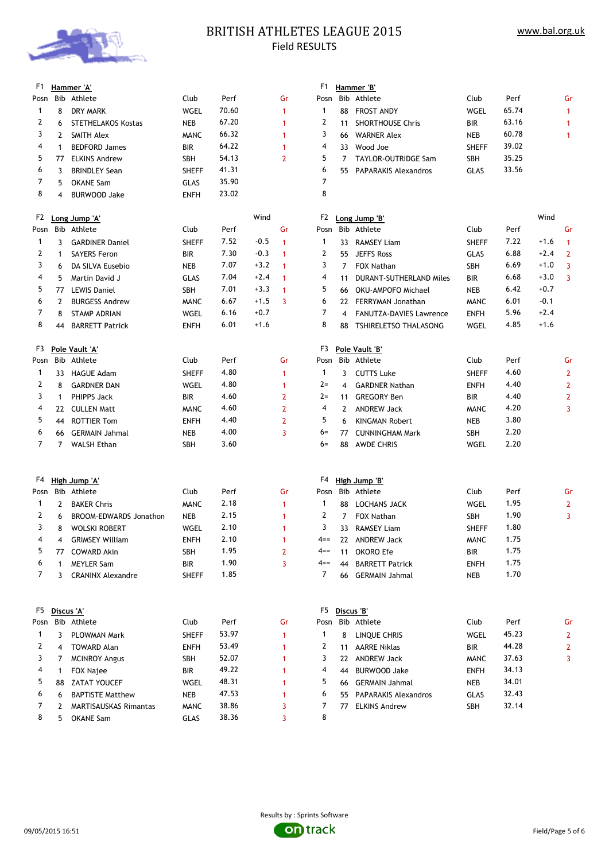

### BRITISH ATHLETES LEAGUE 2015 Field RESULTS

| F1             |              | Hammer 'A'                   |              |       |        |                | F <sub>1</sub> |    | Hammer 'B'                     |              |       |        |                |
|----------------|--------------|------------------------------|--------------|-------|--------|----------------|----------------|----|--------------------------------|--------------|-------|--------|----------------|
| Posn           |              | Bib Athlete                  | Club         | Perf  |        | Gr             | Posn           |    | Bib Athlete                    | Club         | Perf  |        | Gr             |
| $\mathbf{1}$   | 8            | DRY MARK                     | WGEL         | 70.60 |        | 1              | 1              | 88 | <b>FROST ANDY</b>              | WGEL         | 65.74 |        | 1              |
| 2              | 6            | <b>STETHELAKOS Kostas</b>    | <b>NEB</b>   | 67.20 |        | 1              | 2              | 11 | <b>SHORTHOUSE Chris</b>        | <b>BIR</b>   | 63.16 |        | 1              |
| 3              | 2            | SMITH Alex                   | <b>MANC</b>  | 66.32 |        | 1              | 3              | 66 | <b>WARNER Alex</b>             | <b>NEB</b>   | 60.78 |        | 1              |
| 4              | 1            | <b>BEDFORD James</b>         | <b>BIR</b>   | 64.22 |        | 1              | 4              | 33 | Wood Joe                       | <b>SHEFF</b> | 39.02 |        |                |
| 5              | 77           | <b>ELKINS Andrew</b>         | SBH          | 54.13 |        | $\overline{2}$ | 5              | 7  | TAYLOR-OUTRIDGE Sam            | SBH          | 35.25 |        |                |
| 6              | 3            | <b>BRINDLEY Sean</b>         | <b>SHEFF</b> | 41.31 |        |                | 6              | 55 | <b>PAPARAKIS Alexandros</b>    | GLAS         | 33.56 |        |                |
| 7              | 5            | <b>OKANE Sam</b>             | GLAS         | 35.90 |        |                | 7              |    |                                |              |       |        |                |
| 8              | 4            | <b>BURWOOD Jake</b>          | <b>ENFH</b>  | 23.02 |        |                | 8              |    |                                |              |       |        |                |
| F <sub>2</sub> |              | Long Jump 'A'                |              |       | Wind   |                | F2             |    | Long Jump 'B'                  |              |       | Wind   |                |
| Posn           |              | Bib Athlete                  | Club         | Perf  |        | Gr             | Posn           |    | Bib Athlete                    | Club         | Perf  |        | Gr             |
| 1              | 3            | <b>GARDINER Daniel</b>       | <b>SHEFF</b> | 7.52  | $-0.5$ | 1              | 1              |    | 33 RAMSEY Liam                 | <b>SHEFF</b> | 7.22  | $+1.6$ | 1              |
| 2              | 1            | <b>SAYERS Feron</b>          | <b>BIR</b>   | 7.30  | $-0.3$ | 1              | 2              | 55 | <b>JEFFS Ross</b>              | GLAS         | 6.88  | $+2.4$ | $\overline{2}$ |
| 3              | 6            | DA SILVA Eusebio             | NEB          | 7.07  | $+3.2$ | 1              | 3              | 7  | FOX Nathan                     | SBH          | 6.69  | $+1.0$ | 3              |
| 4              | 5            | Martin David J               | GLAS         | 7.04  | $+2.4$ | 1              | 4              | 11 | <b>DURANT-SUTHERLAND Miles</b> | <b>BIR</b>   | 6.68  | $+3.0$ | 3              |
| 5              | 77           | LEWIS Daniel                 | SBH          | 7.01  | $+3.3$ | 1              | 5              | 66 | OKU-AMPOFO Michael             | <b>NEB</b>   | 6.42  | $+0.7$ |                |
| 6              | 2            | <b>BURGESS Andrew</b>        | <b>MANC</b>  | 6.67  | $+1.5$ | 3              | 6              | 22 | <b>FERRYMAN Jonathan</b>       | <b>MANC</b>  | 6.01  | $-0.1$ |                |
| 7              | 8            | STAMP ADRIAN                 | WGEL         | 6.16  | $+0.7$ |                | 7              | 4  | <b>FANUTZA-DAVIES Lawrence</b> | <b>ENFH</b>  | 5.96  | $+2.4$ |                |
| 8              | 44           | <b>BARRETT Patrick</b>       | <b>ENFH</b>  | 6.01  | $+1.6$ |                | 8              | 88 | TSHIRELETSO THALASONG          | WGEL         | 4.85  | $+1.6$ |                |
| F3             |              | Pole Vault 'A'               |              |       |        |                | F3             |    | Pole Vault 'B'                 |              |       |        |                |
| Posn           |              | Bib Athlete                  | Club         | Perf  |        | Gr             | Posn           |    | Bib Athlete                    | Club         | Perf  |        | Gr             |
| $\mathbf{1}$   |              | 33 HAGUE Adam                | <b>SHEFF</b> | 4.80  |        | 1              | 1              | 3  | <b>CUTTS Luke</b>              | <b>SHEFF</b> | 4.60  |        | $\overline{2}$ |
| 2              | 8            | <b>GARDNER DAN</b>           | WGEL         | 4.80  |        | 1              | $2 =$          | 4  | <b>GARDNER Nathan</b>          | <b>ENFH</b>  | 4.40  |        | $\overline{2}$ |
| 3              | $\mathbf{1}$ | PHIPPS Jack                  | <b>BIR</b>   | 4.60  |        | 2              | $2 =$          | 11 | <b>GREGORY Ben</b>             | <b>BIR</b>   | 4.40  |        | $\overline{2}$ |
| 4              |              | 22 CULLEN Matt               | <b>MANC</b>  | 4.60  |        | 2              | 4              | 2  | <b>ANDREW Jack</b>             | <b>MANC</b>  | 4.20  |        | 3              |
| 5              | 44           | <b>ROTTIER Tom</b>           | <b>ENFH</b>  | 4.40  |        | 2              | 5              | 6  | <b>KINGMAN Robert</b>          | <b>NEB</b>   | 3.80  |        |                |
| 6              | 66           | GERMAIN Jahmal               | NEB          | 4.00  |        | 3              | 6=             | 77 | <b>CUNNINGHAM Mark</b>         | SBH          | 2.20  |        |                |
| 7              |              | 7 WALSH Ethan                | SBH          | 3.60  |        |                | 6=             | 88 | AWDE CHRIS                     | WGEL         | 2.20  |        |                |
|                |              |                              |              |       |        |                |                |    |                                |              |       |        |                |
| F4             |              | High Jump 'A'                |              |       |        |                | F4             |    | High Jump 'B'                  |              |       |        |                |
| Posn           |              | Bib Athlete                  | Club         | Perf  |        | Gr             | Posn           |    | Bib Athlete                    | Club         | Perf  |        | Gr             |
| $\mathbf{1}$   | 2            | <b>BAKER Chris</b>           | <b>MANC</b>  | 2.18  |        | 1              | 1              | 88 | LOCHANS JACK                   | WGEL         | 1.95  |        | 2              |
| 2              | 6            | BROOM-EDWARDS Jonathon       | <b>NEB</b>   | 2.15  |        | 1              | 2              | 7  | FOX Nathan                     | SBH          | 1.90  |        | 3              |
| 3              | 8            | <b>WOLSKI ROBERT</b>         | WGEL         | 2.10  |        | 1              | 3              |    | 33 RAMSEY Liam                 | <b>SHEFF</b> | 1.80  |        |                |
| 4              |              | 4 GRIMSEY William            | <b>ENFH</b>  | 2.10  |        |                | $4 ==$         |    | 22 ANDREW Jack                 | <b>MANC</b>  | 1.75  |        |                |
| 5              |              | 77 COWARD Akin               | SBH          | 1.95  |        | $\overline{2}$ | 4==            |    | 11 OKORO Efe                   | BIR          | 1.75  |        |                |
| 6              | 1            | <b>MEYLER Sam</b>            | BIR          | 1.90  |        | 3              | $4 ==$         | 44 | <b>BARRETT Patrick</b>         | <b>ENFH</b>  | 1.75  |        |                |
| 7              | 3            | <b>CRANINX Alexandre</b>     | <b>SHEFF</b> | 1.85  |        |                | 7              |    | 66 GERMAIN Jahmal              | NEB          | 1.70  |        |                |
|                |              |                              |              |       |        |                |                |    |                                |              |       |        |                |
| F5             |              | Discus 'A'                   |              |       |        |                | F5             |    | Discus 'B'                     |              |       |        |                |
| Posn           |              | Bib Athlete                  | Club         | Perf  |        | Gr             | Posn           |    | Bib Athlete                    | Club         | Perf  |        | Gr             |
| 1              | 3            | PLOWMAN Mark                 | <b>SHEFF</b> | 53.97 |        | 1              | 1              | 8  | LINQUE CHRIS                   | <b>WGEL</b>  | 45.23 |        | 2              |
| 2              | 4            | <b>TOWARD Alan</b>           | <b>ENFH</b>  | 53.49 |        | 1              | 2              |    | 11 AARRE Niklas                | BIR          | 44.28 |        | 2              |
| 3              | 7            | <b>MCINROY Angus</b>         | SBH          | 52.07 |        | 1              | 3              |    | 22 ANDREW Jack                 | <b>MANC</b>  | 37.63 |        | 3              |
| 4              | 1            | FOX Najee                    | BIR          | 49.22 |        | 1              | 4              | 44 | <b>BURWOOD Jake</b>            | <b>ENFH</b>  | 34.13 |        |                |
| 5              | 88           | <b>ZATAT YOUCEF</b>          | WGEL         | 48.31 |        | 1              | 5              | 66 | <b>GERMAIN Jahmal</b>          | NEB          | 34.01 |        |                |
| 6              | 6            | <b>BAPTISTE Matthew</b>      | <b>NEB</b>   | 47.53 |        | 1              | 6              | 55 | <b>PAPARAKIS Alexandros</b>    | GLAS         | 32.43 |        |                |
| 7              | 2            | <b>MARTISAUSKAS Rimantas</b> | <b>MANC</b>  | 38.86 |        | 3              | 7              | 77 | <b>ELKINS Andrew</b>           | SBH          | 32.14 |        |                |
| 8              | 5            | <b>OKANE Sam</b>             | GLAS         | 38.36 |        | 3              | 8              |    |                                |              |       |        |                |